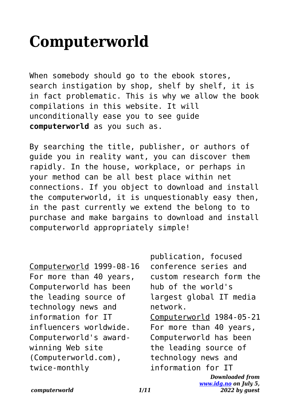## **Computerworld**

When somebody should go to the ebook stores, search instigation by shop, shelf by shelf, it is in fact problematic. This is why we allow the book compilations in this website. It will unconditionally ease you to see guide **computerworld** as you such as.

By searching the title, publisher, or authors of guide you in reality want, you can discover them rapidly. In the house, workplace, or perhaps in your method can be all best place within net connections. If you object to download and install the computerworld, it is unquestionably easy then, in the past currently we extend the belong to to purchase and make bargains to download and install computerworld appropriately simple!

Computerworld 1999-08-16 For more than 40 years, Computerworld has been the leading source of technology news and information for IT influencers worldwide. Computerworld's awardwinning Web site (Computerworld.com), twice-monthly

*Downloaded from* publication, focused conference series and custom research form the hub of the world's largest global IT media network. Computerworld 1984-05-21 For more than 40 years, Computerworld has been the leading source of technology news and information for IT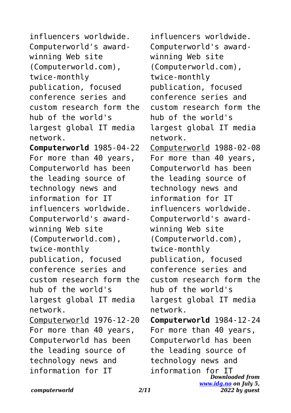influencers worldwide. Computerworld's awardwinning Web site (Computerworld.com), twice-monthly publication, focused conference series and custom research form the hub of the world's largest global IT media network. **Computerworld** 1985-04-22 For more than 40 years, Computerworld has been the leading source of technology news and information for IT influencers worldwide. Computerworld's awardwinning Web site (Computerworld.com), twice-monthly publication, focused conference series and custom research form the hub of the world's largest global IT media network. Computerworld 1976-12-20 For more than 40 years, Computerworld has been the leading source of technology news and information for IT

*Downloaded from [www.idg.no](http://www.idg.no) on July 5,* influencers worldwide. Computerworld's awardwinning Web site (Computerworld.com), twice-monthly publication, focused conference series and custom research form the hub of the world's largest global IT media network. Computerworld 1988-02-08 For more than 40 years, Computerworld has been the leading source of technology news and information for IT influencers worldwide. Computerworld's awardwinning Web site (Computerworld.com), twice-monthly publication, focused conference series and custom research form the hub of the world's largest global IT media network. **Computerworld** 1984-12-24 For more than 40 years, Computerworld has been the leading source of technology news and information for IT

*2022 by guest*

*computerworld 2/11*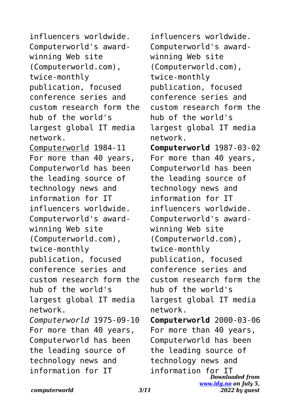influencers worldwide. Computerworld's awardwinning Web site (Computerworld.com), twice-monthly publication, focused conference series and custom research form the hub of the world's largest global IT media network. Computerworld 1984-11 For more than 40 years, Computerworld has been the leading source of technology news and information for IT influencers worldwide. Computerworld's awardwinning Web site (Computerworld.com), twice-monthly publication, focused conference series and custom research form the hub of the world's largest global IT media network. *Computerworld* 1975-09-10 For more than 40 years, Computerworld has been the leading source of technology news and information for IT

*Downloaded from [www.idg.no](http://www.idg.no) on July 5, 2022 by guest* influencers worldwide. Computerworld's awardwinning Web site (Computerworld.com), twice-monthly publication, focused conference series and custom research form the hub of the world's largest global IT media network. **Computerworld** 1987-03-02 For more than 40 years, Computerworld has been the leading source of technology news and information for IT influencers worldwide. Computerworld's awardwinning Web site (Computerworld.com), twice-monthly publication, focused conference series and custom research form the hub of the world's largest global IT media network. **Computerworld** 2000-03-06 For more than 40 years, Computerworld has been the leading source of technology news and information for IT

*computerworld 3/11*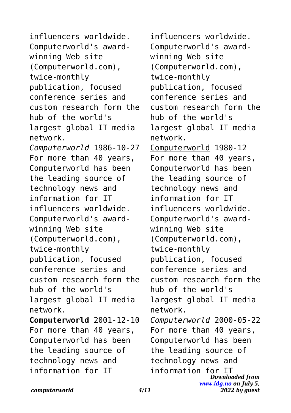influencers worldwide. Computerworld's awardwinning Web site (Computerworld.com), twice-monthly publication, focused conference series and custom research form the hub of the world's largest global IT media network. *Computerworld* 1986-10-27 For more than 40 years, Computerworld has been the leading source of technology news and information for IT influencers worldwide. Computerworld's awardwinning Web site (Computerworld.com), twice-monthly publication, focused conference series and custom research form the hub of the world's largest global IT media network. **Computerworld** 2001-12-10 For more than 40 years, Computerworld has been the leading source of technology news and information for IT

*Downloaded from [www.idg.no](http://www.idg.no) on July 5,* influencers worldwide. Computerworld's awardwinning Web site (Computerworld.com), twice-monthly publication, focused conference series and custom research form the hub of the world's largest global IT media network. Computerworld 1980-12 For more than 40 years, Computerworld has been the leading source of technology news and information for IT influencers worldwide. Computerworld's awardwinning Web site (Computerworld.com), twice-monthly publication, focused conference series and custom research form the hub of the world's largest global IT media network. *Computerworld* 2000-05-22 For more than 40 years, Computerworld has been the leading source of technology news and information for IT

*2022 by guest*

*computerworld 4/11*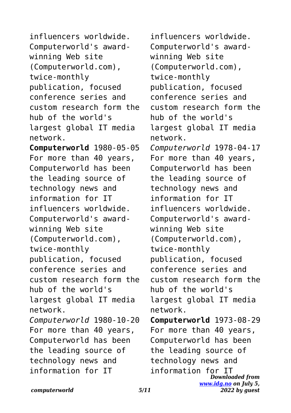influencers worldwide. Computerworld's awardwinning Web site (Computerworld.com), twice-monthly publication, focused conference series and custom research form the hub of the world's largest global IT media network. **Computerworld** 1980-05-05 For more than 40 years, Computerworld has been the leading source of technology news and information for IT influencers worldwide. Computerworld's awardwinning Web site (Computerworld.com), twice-monthly publication, focused conference series and custom research form the hub of the world's largest global IT media network. *Computerworld* 1980-10-20 For more than 40 years, Computerworld has been the leading source of technology news and information for IT

*Downloaded from [www.idg.no](http://www.idg.no) on July 5,* influencers worldwide. Computerworld's awardwinning Web site (Computerworld.com), twice-monthly publication, focused conference series and custom research form the hub of the world's largest global IT media network. *Computerworld* 1978-04-17 For more than 40 years, Computerworld has been the leading source of technology news and information for IT influencers worldwide. Computerworld's awardwinning Web site (Computerworld.com), twice-monthly publication, focused conference series and custom research form the hub of the world's largest global IT media network. **Computerworld** 1973-08-29 For more than 40 years, Computerworld has been the leading source of technology news and information for IT

*2022 by guest*

*computerworld 5/11*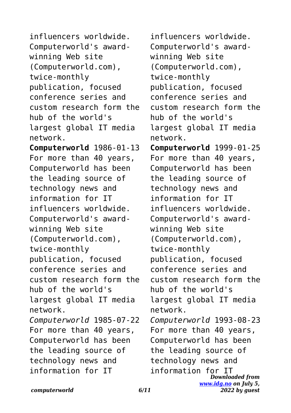influencers worldwide. Computerworld's awardwinning Web site (Computerworld.com), twice-monthly publication, focused conference series and custom research form the hub of the world's largest global IT media network. **Computerworld** 1986-01-13 For more than 40 years, Computerworld has been the leading source of technology news and information for IT influencers worldwide. Computerworld's awardwinning Web site (Computerworld.com), twice-monthly publication, focused conference series and custom research form the hub of the world's largest global IT media network. *Computerworld* 1985-07-22 For more than 40 years, Computerworld has been the leading source of technology news and information for IT

*Downloaded from [www.idg.no](http://www.idg.no) on July 5,* influencers worldwide. Computerworld's awardwinning Web site (Computerworld.com), twice-monthly publication, focused conference series and custom research form the hub of the world's largest global IT media network. **Computerworld** 1999-01-25 For more than 40 years, Computerworld has been the leading source of technology news and information for IT influencers worldwide. Computerworld's awardwinning Web site (Computerworld.com), twice-monthly publication, focused conference series and custom research form the hub of the world's largest global IT media network. *Computerworld* 1993-08-23 For more than 40 years, Computerworld has been the leading source of technology news and information for IT

*2022 by guest*

*computerworld 6/11*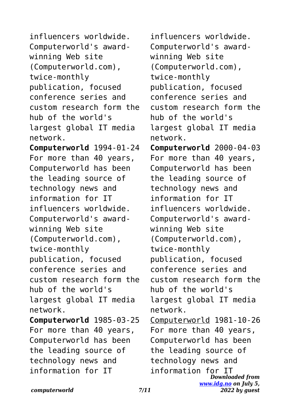influencers worldwide. Computerworld's awardwinning Web site (Computerworld.com), twice-monthly publication, focused conference series and custom research form the hub of the world's largest global IT media network. **Computerworld** 1994-01-24 For more than 40 years, Computerworld has been the leading source of technology news and information for IT influencers worldwide. Computerworld's awardwinning Web site (Computerworld.com), twice-monthly publication, focused conference series and custom research form the hub of the world's largest global IT media network. **Computerworld** 1985-03-25 For more than 40 years, Computerworld has been the leading source of technology news and information for IT

*Downloaded from* information for IT*[www.idg.no](http://www.idg.no) on July 5, 2022 by guest* influencers worldwide. Computerworld's awardwinning Web site (Computerworld.com), twice-monthly publication, focused conference series and custom research form the hub of the world's largest global IT media network. **Computerworld** 2000-04-03 For more than 40 years, Computerworld has been the leading source of technology news and information for IT influencers worldwide. Computerworld's awardwinning Web site (Computerworld.com), twice-monthly publication, focused conference series and custom research form the hub of the world's largest global IT media network. Computerworld 1981-10-26 For more than 40 years, Computerworld has been the leading source of technology news and

*computerworld 7/11*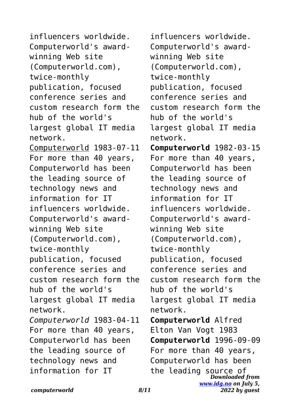influencers worldwide. Computerworld's awardwinning Web site (Computerworld.com), twice-monthly publication, focused conference series and custom research form the hub of the world's largest global IT media network. Computerworld 1983-07-11 For more than 40 years, Computerworld has been the leading source of technology news and information for IT influencers worldwide. Computerworld's awardwinning Web site (Computerworld.com), twice-monthly publication, focused conference series and custom research form the hub of the world's largest global IT media network. *Computerworld* 1983-04-11 For more than 40 years, Computerworld has been the leading source of technology news and information for IT

*Downloaded from [www.idg.no](http://www.idg.no) on July 5, 2022 by guest* influencers worldwide. Computerworld's awardwinning Web site (Computerworld.com), twice-monthly publication, focused conference series and custom research form the hub of the world's largest global IT media network. **Computerworld** 1982-03-15 For more than 40 years, Computerworld has been the leading source of technology news and information for IT influencers worldwide. Computerworld's awardwinning Web site (Computerworld.com), twice-monthly publication, focused conference series and custom research form the hub of the world's largest global IT media network. **Computerworld** Alfred Elton Van Vogt 1983 **Computerworld** 1996-09-09 For more than 40 years, Computerworld has been the leading source of

*computerworld 8/11*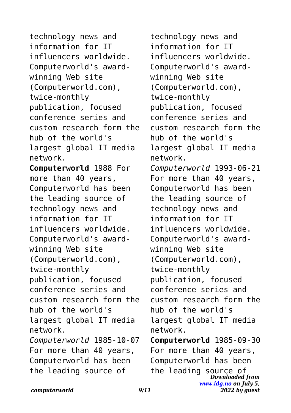technology news and information for IT influencers worldwide. Computerworld's awardwinning Web site (Computerworld.com), twice-monthly publication, focused conference series and custom research form the hub of the world's largest global IT media network. **Computerworld** 1988 For more than 40 years, Computerworld has been the leading source of technology news and information for IT influencers worldwide. Computerworld's awardwinning Web site (Computerworld.com), twice-monthly publication, focused conference series and custom research form the hub of the world's largest global IT media network. *Computerworld* 1985-10-07 For more than 40 years, Computerworld has been the leading source of

*Downloaded from [www.idg.no](http://www.idg.no) on July 5, 2022 by guest* technology news and information for IT influencers worldwide. Computerworld's awardwinning Web site (Computerworld.com), twice-monthly publication, focused conference series and custom research form the hub of the world's largest global IT media network. *Computerworld* 1993-06-21 For more than 40 years, Computerworld has been the leading source of technology news and information for IT influencers worldwide. Computerworld's awardwinning Web site (Computerworld.com), twice-monthly publication, focused conference series and custom research form the hub of the world's largest global IT media network. **Computerworld** 1985-09-30 For more than 40 years, Computerworld has been the leading source of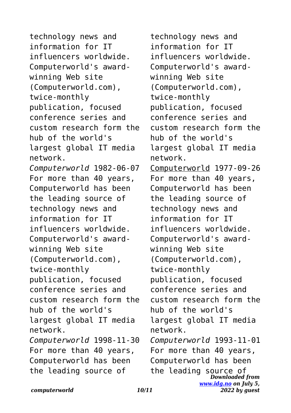technology news and information for IT influencers worldwide. Computerworld's awardwinning Web site (Computerworld.com), twice-monthly publication, focused conference series and custom research form the hub of the world's largest global IT media network. *Computerworld* 1982-06-07 For more than 40 years, Computerworld has been the leading source of technology news and information for IT influencers worldwide. Computerworld's awardwinning Web site (Computerworld.com), twice-monthly publication, focused conference series and custom research form the hub of the world's largest global IT media network. *Computerworld* 1998-11-30 For more than 40 years, Computerworld has been the leading source of

*Downloaded from [www.idg.no](http://www.idg.no) on July 5, 2022 by guest* technology news and information for IT influencers worldwide. Computerworld's awardwinning Web site (Computerworld.com), twice-monthly publication, focused conference series and custom research form the hub of the world's largest global IT media network. Computerworld 1977-09-26 For more than 40 years, Computerworld has been the leading source of technology news and information for IT influencers worldwide. Computerworld's awardwinning Web site (Computerworld.com), twice-monthly publication, focused conference series and custom research form the hub of the world's largest global IT media network. *Computerworld* 1993-11-01 For more than 40 years, Computerworld has been the leading source of